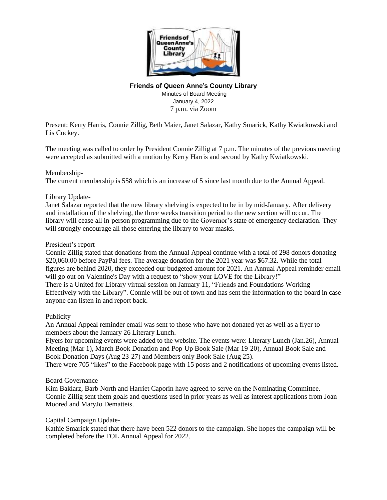

# **Friends of Queen Anne**'**s County Library**

Minutes of Board Meeting January 4, 2022 7 p.m. via Zoom

Present: Kerry Harris, Connie Zillig, Beth Maier, Janet Salazar, Kathy Smarick, Kathy Kwiatkowski and Lis Cockey.

The meeting was called to order by President Connie Zillig at 7 p.m. The minutes of the previous meeting were accepted as submitted with a motion by Kerry Harris and second by Kathy Kwiatkowski.

## Membership-

The current membership is 558 which is an increase of 5 since last month due to the Annual Appeal.

## Library Update-

Janet Salazar reported that the new library shelving is expected to be in by mid-January. After delivery and installation of the shelving, the three weeks transition period to the new section will occur. The library will cease all in-person programming due to the Governor's state of emergency declaration. They will strongly encourage all those entering the library to wear masks.

### President's report-

Connie Zillig stated that donations from the Annual Appeal continue with a total of 298 donors donating \$20,060.00 before PayPal fees. The average donation for the 2021 year was \$67.32. While the total figures are behind 2020, they exceeded our budgeted amount for 2021. An Annual Appeal reminder email will go out on Valentine's Day with a request to "show your LOVE for the Library!" There is a United for Library virtual session on January 11, "Friends and Foundations Working Effectively with the Library". Connie will be out of town and has sent the information to the board in case anyone can listen in and report back.

### Publicity-

An Annual Appeal reminder email was sent to those who have not donated yet as well as a flyer to members about the January 26 Literary Lunch.

Flyers for upcoming events were added to the website. The events were: Literary Lunch (Jan.26), Annual Meeting (Mar 1), March Book Donation and Pop-Up Book Sale (Mar 19-20), Annual Book Sale and Book Donation Days (Aug 23-27) and Members only Book Sale (Aug 25).

There were 705 "likes" to the Facebook page with 15 posts and 2 notifications of upcoming events listed.

# Board Governance-

Kim Baklarz, Barb North and Harriet Caporin have agreed to serve on the Nominating Committee. Connie Zillig sent them goals and questions used in prior years as well as interest applications from Joan Moored and MaryJo Dematteis.

### Capital Campaign Update-

Kathie Smarick stated that there have been 522 donors to the campaign. She hopes the campaign will be completed before the FOL Annual Appeal for 2022.